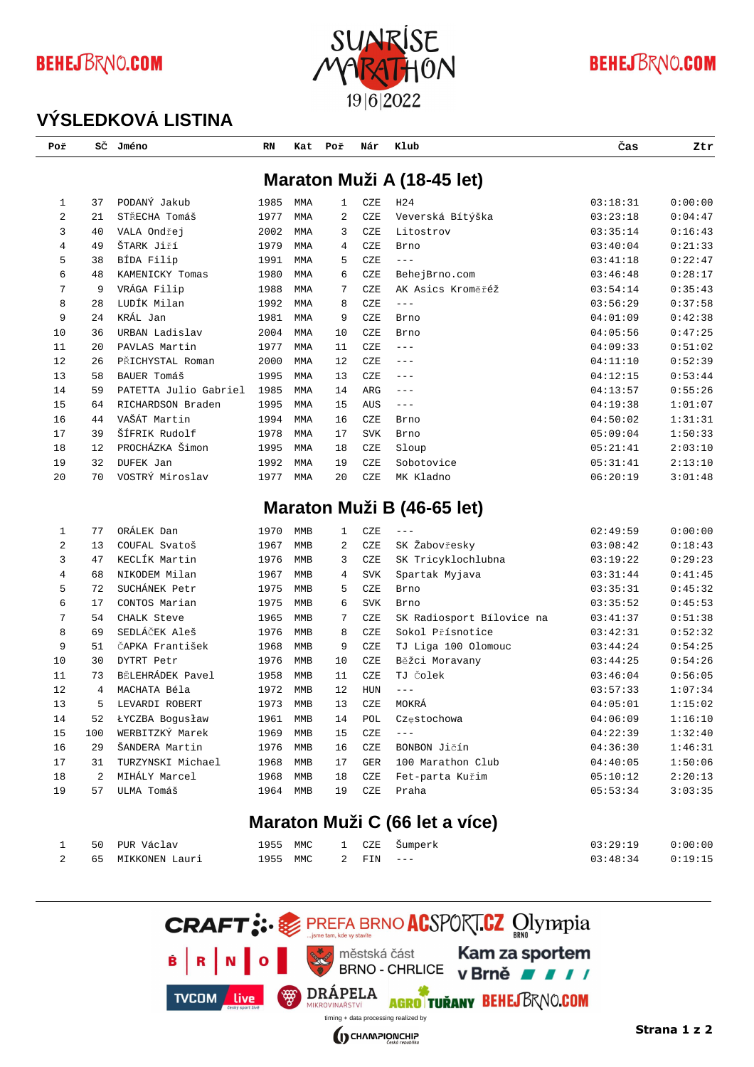# **BEHEJBRNO.COM**



#### **BEHEJBRNO.COM**

#### **VÝSLEDKOVÁ LISTINA**

| Poř      | SČ        | Jméno                              | RN           | Kat | Poř         | Nár        | Klub                           | Čas                  | Ztr                |
|----------|-----------|------------------------------------|--------------|-----|-------------|------------|--------------------------------|----------------------|--------------------|
|          |           |                                    |              |     |             |            | Maraton Muži A (18-45 let)     |                      |                    |
| 1        | 37        | PODANÝ Jakub                       | 1985         | MMA | $\mathbf 1$ | CZE        | H <sub>24</sub>                | 03:18:31             | 0:00:00            |
| 2        | 21        | STŘECHA Tomáš                      | 1977         | MMA | 2           | CZE        | Veverská Bítýška               | 03:23:18             | 0:04:47            |
| 3        | 40        | VALA Ondřej                        | 2002         | MMA | 3           | CZE        | Litostrov                      | 03:35:14             | 0:16:43            |
| 4        | 49        | ŠTARK Jiří                         | 1979         | MMA | 4           | CZE        | Brno                           | 03:40:04             | 0:21:33            |
| 5        | 38        | BÍDA Filip                         | 1991         | MMA | 5           | CZE        | $---$                          | 03:41:18             | 0:22:47            |
| 6        | 48        | KAMENICKY Tomas                    | 1980         | MMA | 6           | CZE        | BehejBrno.com                  | 03:46:48             | 0:28:17            |
| 7        | 9         | VRÁGA Filip                        | 1988         | MMA | 7           | CZE        | AK Asics Kroměřéž              | 03:54:14             | 0:35:43            |
| 8        | 28        | LUDÍK Milan                        | 1992         | MMA | 8           | CZE        | $---$                          | 03:56:29             | 0:37:58            |
| 9        | 24        | KRÁL Jan                           | 1981         | MMA | 9           | CZE        | Brno                           | 04:01:09             | 0:42:38            |
| 10       | 36        | URBAN Ladislav                     | 2004         | MMA | 10          | CZE        | Brno                           | 04:05:56             | 0:47:25            |
| 11       | 20        | PAVLAS Martin                      | 1977         | MMA | 11          | CZE        | $---$                          | 04:09:33             | 0:51:02            |
| 12       | 26        | PŘICHYSTAL Roman                   | 2000         | MMA | 12          | CZE        | $---$                          | 04:11:10             | 0:52:39            |
| 13       | 58        | BAUER Tomáš                        | 1995         | MMA | 13          | CZE        | $---$                          | 04:12:15             | 0:53:44            |
| 14       | 59        | PATETTA Julio Gabriel              | 1985         | MMA | 14          | ARG        | $---$                          | 04:13:57             | 0:55:26            |
| 15       | 64        | RICHARDSON Braden                  | 1995         | MMA | 15          | AUS        | $\qquad \qquad - -$            | 04:19:38             | 1:01:07            |
| 16       | 44        | VAŠÁT Martin                       | 1994         | MMA | 16          | CZE        | Brno                           | 04:50:02             | 1:31:31            |
| 17       | 39        | ŠÍFRIK Rudolf                      | 1978         | MMA | 17          | <b>SVK</b> | Brno                           | 05:09:04             | 1:50:33            |
| 18       | 12        | PROCHÁZKA Šimon                    | 1995         | MMA | 18          | CZE        | Sloup                          | 05:21:41             | 2:03:10            |
| 19       | 32        | DUFEK Jan                          | 1992         | MMA | 19          | CZE        | Sobotovice                     | 05:31:41             | 2:13:10            |
| 20       | 70        | VOSTRÝ Miroslav                    | 1977         | MMA | 20          | CZE        | MK Kladno                      | 06:20:19             | 3:01:48            |
|          |           |                                    |              |     |             |            | Maraton Muži B (46-65 let)     |                      |                    |
| 1        | 77        | ORÁLEK Dan                         | 1970         | MMB | 1           | CZE        | $- - -$                        | 02:49:59             | 0:00:00            |
| 2        | 13        | COUFAL Svatoš                      | 1967         | MMB | 2           | CZE        | SK Žabovřesky                  | 03:08:42             | 0:18:43            |
| 3        | 47        | KECLÍK Martin                      | 1976         | MMB | 3           | CZE        | SK Tricyklochlubna             | 03:19:22             | 0:29:23            |
| 4        | 68        | NIKODEM Milan                      | 1967         | MMB | 4           | <b>SVK</b> | Spartak Myjava                 | 03:31:44             | 0:41:45            |
| 5        | 72        | SUCHÁNEK Petr                      | 1975         | MMB | 5           | CZE        | Brno                           | 03:35:31             | 0:45:32            |
| 6        | 17        | CONTOS Marian                      | 1975         | MMB | 6           | <b>SVK</b> | Brno                           | 03:35:52             | 0:45:53            |
| 7        | 54        | CHALK Steve                        | 1965         | MMB | 7           | CZE        | SK Radiosport Bílovice na      | 03:41:37             | 0:51:38            |
| 8        | 69        | SEDLÁČEK Aleš                      | 1976         | MMB | 8           | CZE        | Sokol Přísnotice               | 03:42:31             | 0:52:32            |
| 9        | 51        | ČAPKA František                    | 1968         | MMB | 9           | CZE        | TJ Liga 100 Olomouc            | 03:44:24             | 0:54:25            |
| 10       | 30        | DYTRT Petr                         | 1976         | MMB | 10          | CZE        | Běžci Moravany                 | 03:44:25             | 0:54:26            |
| 11       | 73        | BĚLEHRÁDEK Pavel                   | 1958         | MMB | 11          | CZE        | TJ Čolek                       | 03:46:04             | 0:56:05            |
| 12       | 4         | MACHATA Béla                       | 1972         | MMB | 12          | <b>HUN</b> | $---$                          | 03:57:33             | 1:07:34            |
| $13$     | 5         | LEVARDI ROBERT                     | 1973         |     | 13          | CZE        | MOKRÁ                          | 04:05:01             | 1:15:02            |
| 14       | 52        | <b>LYCZBA</b> Bogusław             |              | MMB | 14          |            |                                | 04:06:09             | 1:16:10            |
|          |           | WERBITZKÝ Marek                    | 1961         | MMB |             | POL        | Częstochowa<br>$---$           |                      |                    |
| 15<br>16 | 100<br>29 | ŠANDERA Martin                     | 1969<br>1976 | MMB | 15          | CZE        | BONBON Jičín                   | 04:22:39<br>04:36:30 | 1:32:40<br>1:46:31 |
| 17       |           |                                    | 1968         | MMB | 16<br>17    | CZE        | 100 Marathon Club              |                      |                    |
| 18       | 31<br>2   | TURZYNSKI Michael<br>MIHÁLY Marcel | 1968         | MMB | 18          | GER        |                                | 04:40:05             | 1:50:06<br>2:20:13 |
|          | 57        |                                    |              | MMB |             | CZE        | Fet-parta Kuřim                | 05:10:12             |                    |
| 19       |           | <b>ULMA Tomáš</b>                  | 1964         | MMB | 19          | CZE        | Praha                          | 05:53:34             | 3:03:35            |
|          |           |                                    |              |     |             |            | Maraton Muži C (66 let a více) |                      |                    |

|  | 1 50 PUR Václav     |                    |  | 1955 MMC 1 CZE Šumperk | $03:29:19$ $0:00:00$ |  |
|--|---------------------|--------------------|--|------------------------|----------------------|--|
|  | 2 65 MIKKONEN Lauri | 1955 MMC 2 FIN --- |  |                        | $03:48:34$ $0:19:15$ |  |